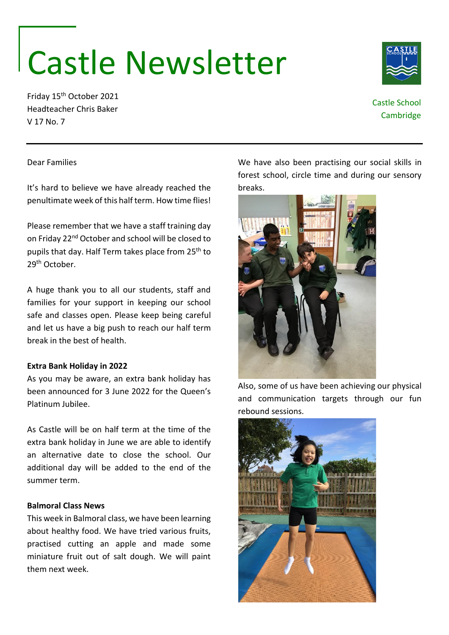# Castle Newsletter

Friday 15th October 2021 Headteacher Chris Baker V 17 No. 7

It's hard to believe we have already reached the penultimate week of this half term. How time flies!

Please remember that we have a staff training day

As you may be aware, an extra bank holiday has been announced for 3 June 2022 for the Queen's

As Castle will be on half term at the time of the extra bank holiday in June we are able to identify an alternative date to close the school. Our additional day will be added to the end of the

Dear Families

29th October.

break in the best of health.

**Extra Bank Holiday in 2022**

Platinum Jubilee.

We have also been practising our social skills in forest school, circle time and during our sensory breaks.

## on Friday 22nd October and school will be closed to pupils that day. Half Term takes place from 25<sup>th</sup> to A huge thank you to all our students, staff and families for your support in keeping our school safe and classes open. Please keep being careful and let us have a big push to reach our half term

Also, some of us have been achieving our physical and communication targets through our fun rebound sessions.

#### **Balmoral Class News**

summer term.

This week in Balmoral class, we have been learning about healthy food. We have tried various fruits, practised cutting an apple and made some miniature fruit out of salt dough. We will paint them next week.